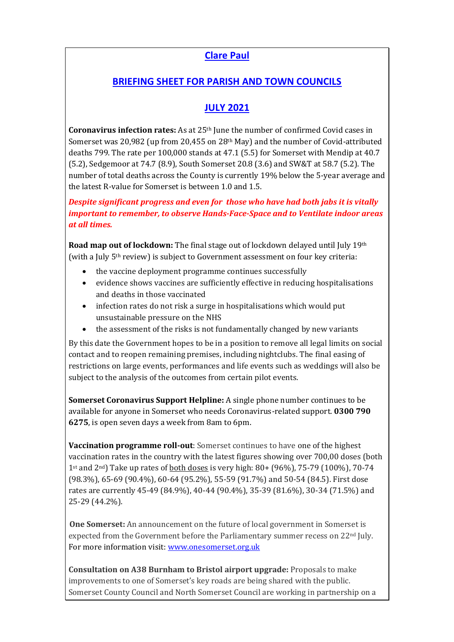## **Clare Paul**

## **BRIEFING SHEET FOR PARISH AND TOWN COUNCILS**

## **JULY 2021**

**Coronavirus infection rates:** As at 25th June the number of confirmed Covid cases in Somerset was 20,982 (up from 20,455 on 28<sup>th</sup> May) and the number of Covid-attributed deaths 799. The rate per 100,000 stands at 47.1 (5.5) for Somerset with Mendip at 40.7 (5.2), Sedgemoor at 74.7 (8.9), South Somerset 20.8 (3.6) and SW&T at 58.7 (5.2). The number of total deaths across the County is currently 19% below the 5-year average and the latest R-value for Somerset is between 1.0 and 1.5.

*Despite significant progress and even for those who have had both jabs it is vitally important to remember, to observe Hands-Face-Space and to Ventilate indoor areas at all times.*

**Road map out of lockdown:** The final stage out of lockdown delayed until July 19th (with a July  $5<sup>th</sup>$  review) is subject to Government assessment on four key criteria:

- the vaccine deployment programme continues successfully
- evidence shows vaccines are sufficiently effective in reducing hospitalisations and deaths in those vaccinated
- infection rates do not risk a surge in hospitalisations which would put unsustainable pressure on the NHS
- the assessment of the risks is not fundamentally changed by new variants

By this date the Government hopes to be in a position to remove all legal limits on social contact and to reopen remaining premises, including nightclubs. The final easing of restrictions on large events, performances and life events such as weddings will also be subject to the analysis of the outcomes from certain pilot events.

**Somerset Coronavirus Support Helpline:** A single phone number continues to be available for anyone in Somerset who needs Coronavirus-related support. **0300 790 6275**, is open seven days a week from 8am to 6pm.

**Vaccination programme roll-out**: Somerset continues to have one of the highest vaccination rates in the country with the latest figures showing over 700,00 doses (both 1st and  $2<sup>nd</sup>$ ) Take up rates of both doses is very high: 80+ (96%), 75-79 (100%), 70-74 (98.3%), 65-69 (90.4%), 60-64 (95.2%), 55-59 (91.7%) and 50-54 (84.5). First dose rates are currently 45-49 (84.9%), 40-44 (90.4%), 35-39 (81.6%), 30-34 (71.5%) and 25-29 (44.2%).

**One Somerset:** An announcement on the future of local government in Somerset is expected from the Government before the Parliamentary summer recess on  $22<sup>nd</sup>$  July. For more information visit: [www.onesomerset.org.uk](about:blank)

**Consultation on A38 Burnham to Bristol airport upgrade:** Proposals to make improvements to one of Somerset's key roads are being shared with the public. Somerset County Council and North Somerset Council are working in partnership on a